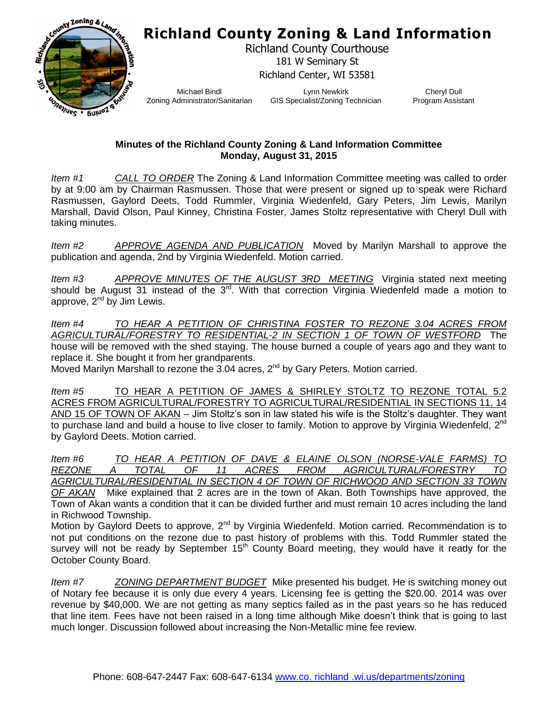## **Richland County Zoning & Land Information**



Richland County Courthouse 181 W Seminary St Richland Center, WI 53581

Michael Bindl Zoning Administrator/Sanitarian

Lynn Newkirk GIS Specialist/Zoning Technician

Cheryl Dull Program Assistant

## **Minutes of the Richland County Zoning & Land Information Committee Monday, August 31, 2015**

*Item #1 CALL TO ORDER* The Zoning & Land Information Committee meeting was called to order by at 9:00 am by Chairman Rasmussen. Those that were present or signed up to speak were Richard Rasmussen, Gaylord Deets, Todd Rummler, Virginia Wiedenfeld, Gary Peters, Jim Lewis, Marilyn Marshall, David Olson, Paul Kinney, Christina Foster, James Stoltz representative with Cheryl Dull with taking minutes.

*Item #2 APPROVE AGENDA AND PUBLICATION* Moved by Marilyn Marshall to approve the publication and agenda, 2nd by Virginia Wiedenfeld. Motion carried.

*Item #3 APPROVE MINUTES OF THE AUGUST 3RD MEETING* Virginia stated next meeting should be August 31 instead of the 3<sup>rd</sup>. With that correction Virginia Wiedenfeld made a motion to approve,  $2^{nd}$  by Jim Lewis.

*Item #4 TO HEAR A PETITION OF CHRISTINA FOSTER TO REZONE 3.04 ACRES FROM AGRICULTURAL/FORESTRY TO RESIDENTIAL-2 IN SECTION 1 OF TOWN OF WESTFORD* The house will be removed with the shed staying. The house burned a couple of years ago and they want to replace it. She bought it from her grandparents.

Moved Marilyn Marshall to rezone the 3.04 acres, 2<sup>nd</sup> by Gary Peters. Motion carried.

*Item #5* TO HEAR A PETITION OF JAMES & SHIRLEY STOLTZ TO REZONE TOTAL 5.2 ACRES FROM AGRICULTURAL/FORESTRY TO AGRICULTURAL/RESIDENTIAL IN SECTIONS 11, 14 AND 15 OF TOWN OF AKAN – Jim Stoltz's son in law stated his wife is the Stoltz's daughter. They want to purchase land and build a house to live closer to family. Motion to approve by Virginia Wiedenfeld, 2<sup>nd</sup> by Gaylord Deets. Motion carried.

*Item #6 TO HEAR A PETITION OF DAVE & ELAINE OLSON (NORSE-VALE FARMS) TO REZONE A TOTAL OF 11 ACRES FROM AGRICULTURAL/FORESTRY TO AGRICULTURAL/RESIDENTIAL IN SECTION 4 OF TOWN OF RICHWOOD AND SECTION 33 TOWN* 

*OF AKAN* Mike explained that 2 acres are in the town of Akan. Both Townships have approved, the Town of Akan wants a condition that it can be divided further and must remain 10 acres including the land in Richwood Township.

Motion by Gaylord Deets to approve,  $2^{nd}$  by Virginia Wiedenfeld. Motion carried. Recommendation is to not put conditions on the rezone due to past history of problems with this. Todd Rummler stated the survey will not be ready by September  $15<sup>th</sup>$  County Board meeting, they would have it ready for the October County Board.

*Item #7 ZONING DEPARTMENT BUDGET* Mike presented his budget. He is switching money out of Notary fee because it is only due every 4 years. Licensing fee is getting the \$20.00. 2014 was over revenue by \$40,000. We are not getting as many septics failed as in the past years so he has reduced that line item. Fees have not been raised in a long time although Mike doesn't think that is going to last much longer. Discussion followed about increasing the Non-Metallic mine fee review.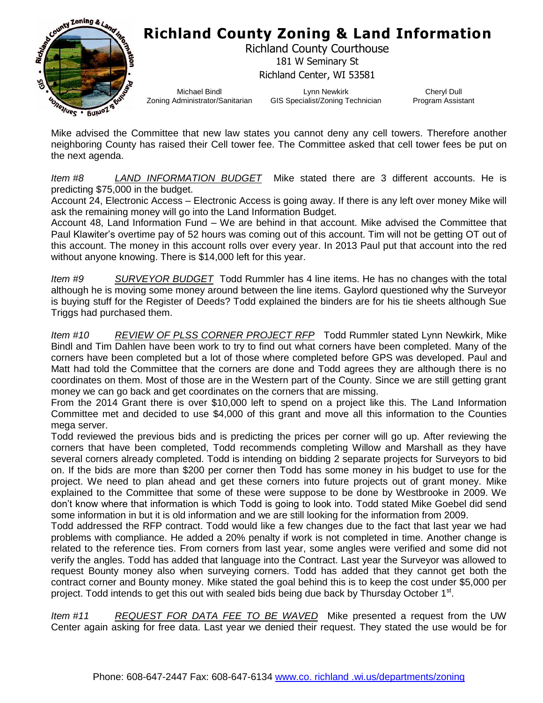## **Richland County Zoning & Land Information**



Richland County Courthouse 181 W Seminary St Richland Center, WI 53581

Michael Bindl Zoning Administrator/Sanitarian

Lynn Newkirk GIS Specialist/Zoning Technician

Cheryl Dull Program Assistant

Mike advised the Committee that new law states you cannot deny any cell towers. Therefore another neighboring County has raised their Cell tower fee. The Committee asked that cell tower fees be put on the next agenda.

*Item #8 LAND INFORMATION BUDGET* Mike stated there are 3 different accounts. He is predicting \$75,000 in the budget.

Account 24, Electronic Access – Electronic Access is going away. If there is any left over money Mike will ask the remaining money will go into the Land Information Budget.

Account 48, Land Information Fund – We are behind in that account. Mike advised the Committee that Paul Klawiter's overtime pay of 52 hours was coming out of this account. Tim will not be getting OT out of this account. The money in this account rolls over every year. In 2013 Paul put that account into the red without anyone knowing. There is \$14,000 left for this year.

*Item #9 SURVEYOR BUDGET* Todd Rummler has 4 line items. He has no changes with the total although he is moving some money around between the line items. Gaylord questioned why the Surveyor is buying stuff for the Register of Deeds? Todd explained the binders are for his tie sheets although Sue Triggs had purchased them.

*Item #10 REVIEW OF PLSS CORNER PROJECT RFP* Todd Rummler stated Lynn Newkirk, Mike Bindl and Tim Dahlen have been work to try to find out what corners have been completed. Many of the corners have been completed but a lot of those where completed before GPS was developed. Paul and Matt had told the Committee that the corners are done and Todd agrees they are although there is no coordinates on them. Most of those are in the Western part of the County. Since we are still getting grant money we can go back and get coordinates on the corners that are missing.

From the 2014 Grant there is over \$10,000 left to spend on a project like this. The Land Information Committee met and decided to use \$4,000 of this grant and move all this information to the Counties mega server.

Todd reviewed the previous bids and is predicting the prices per corner will go up. After reviewing the corners that have been completed, Todd recommends completing Willow and Marshall as they have several corners already completed. Todd is intending on bidding 2 separate projects for Surveyors to bid on. If the bids are more than \$200 per corner then Todd has some money in his budget to use for the project. We need to plan ahead and get these corners into future projects out of grant money. Mike explained to the Committee that some of these were suppose to be done by Westbrooke in 2009. We don't know where that information is which Todd is going to look into. Todd stated Mike Goebel did send some information in but it is old information and we are still looking for the information from 2009.

Todd addressed the RFP contract. Todd would like a few changes due to the fact that last year we had problems with compliance. He added a 20% penalty if work is not completed in time. Another change is related to the reference ties. From corners from last year, some angles were verified and some did not verify the angles. Todd has added that language into the Contract. Last year the Surveyor was allowed to request Bounty money also when surveying corners. Todd has added that they cannot get both the contract corner and Bounty money. Mike stated the goal behind this is to keep the cost under \$5,000 per project. Todd intends to get this out with sealed bids being due back by Thursday October 1<sup>st</sup>.

*Item #11 REQUEST FOR DATA FEE TO BE WAVED* Mike presented a request from the UW Center again asking for free data. Last year we denied their request. They stated the use would be for